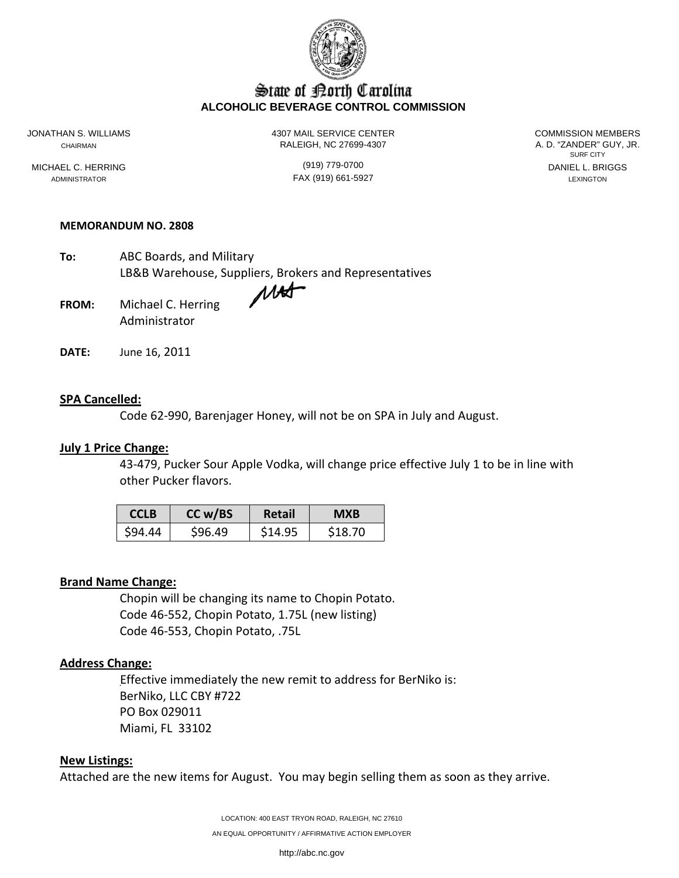

# State of Borth Carolina **ALCOHOLIC BEVERAGE CONTROL COMMISSION**

JONATHAN S. WILLIAMS 4307 MAIL SERVICE CENTER COMMISSION MEMBERS CHAIRMAN RALEIGH, NC 27699-4307

SURF CITY MICHAEL C. HERRING (919) 779-0700 DANIEL L. BRIGGS

ADMINISTRATOR LEXINGTON FAX (919) 661-5927 LEXINGTON LEXINGTON

#### **MEMORANDUM NO. 2808**

**To:** ABC Boards, and Military LB&B Warehouse, Suppliers, Brokers and Representatives

- **FROM:** Michael C. Herring Administrator
- **DATE:** June 16, 2011

## **SPA Cancelled:**

Code 62‐990, Barenjager Honey, will not be on SPA in July and August.

#### **July 1 Price Change:**

43‐479, Pucker Sour Apple Vodka, will change price effective July 1 to be in line with other Pucker flavors.

| <b>CCLB</b> | CC w/BS | Retail  | <b>MXB</b> |
|-------------|---------|---------|------------|
| \$94.44     | \$96.49 | \$14.95 | \$18.70    |

## **Brand Name Change:**

Chopin will be changing its name to Chopin Potato. Code 46‐552, Chopin Potato, 1.75L (new listing) Code 46‐553, Chopin Potato, .75L

## **Address Change:**

Effective immediately the new remit to address for BerNiko is: BerNiko, LLC CBY #722 PO Box 029011 Miami, FL 33102

#### **New Listings:**

Attached are the new items for August. You may begin selling them as soon as they arrive.

LOCATION: 400 EAST TRYON ROAD, RALEIGH, NC 27610 AN EQUAL OPPORTUNITY / AFFIRMATIVE ACTION EMPLOYER